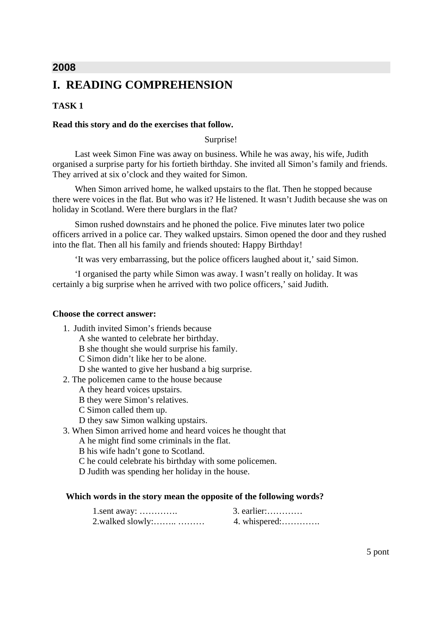## **2008**

## **I. READING COMPREHENSION**

## **TASK 1**

#### **Read this story and do the exercises that follow.**

#### Surprise!

 Last week Simon Fine was away on business. While he was away, his wife, Judith organised a surprise party for his fortieth birthday. She invited all Simon's family and friends. They arrived at six o'clock and they waited for Simon.

 When Simon arrived home, he walked upstairs to the flat. Then he stopped because there were voices in the flat. But who was it? He listened. It wasn't Judith because she was on holiday in Scotland. Were there burglars in the flat?

 Simon rushed downstairs and he phoned the police. Five minutes later two police officers arrived in a police car. They walked upstairs. Simon opened the door and they rushed into the flat. Then all his family and friends shouted: Happy Birthday!

'It was very embarrassing, but the police officers laughed about it,' said Simon.

 'I organised the party while Simon was away. I wasn't really on holiday. It was certainly a big surprise when he arrived with two police officers,' said Judith.

#### **Choose the correct answer:**

- 1. Judith invited Simon's friends because
	- A she wanted to celebrate her birthday.
	- B she thought she would surprise his family.
	- C Simon didn't like her to be alone.
	- D she wanted to give her husband a big surprise.
- 2. The policemen came to the house because
	- A they heard voices upstairs.
	- B they were Simon's relatives.
	- C Simon called them up.
	- D they saw Simon walking upstairs.
- 3. When Simon arrived home and heard voices he thought that
	- A he might find some criminals in the flat.
	- B his wife hadn't gone to Scotland.
	- C he could celebrate his birthday with some policemen.
	- D Judith was spending her holiday in the house.

#### **Which words in the story mean the opposite of the following words?**

| $1$ .sent away:    | $3.$ earlier: |
|--------------------|---------------|
| $2$ walked slowly: |               |